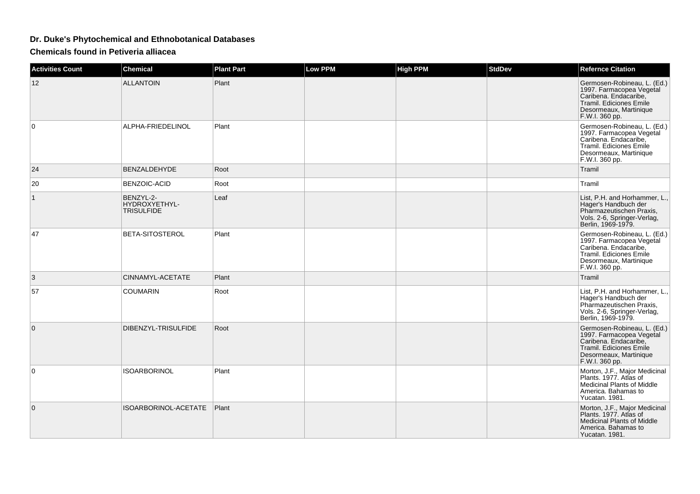## **Dr. Duke's Phytochemical and Ethnobotanical Databases**

**Chemicals found in Petiveria alliacea**

| <b>Activities Count</b> | <b>Chemical</b>                                 | <b>Plant Part</b> | <b>Low PPM</b> | <b>High PPM</b> | <b>StdDev</b> | <b>Refernce Citation</b>                                                                                                                                       |
|-------------------------|-------------------------------------------------|-------------------|----------------|-----------------|---------------|----------------------------------------------------------------------------------------------------------------------------------------------------------------|
| 12                      | <b>ALLANTOIN</b>                                | Plant             |                |                 |               | Germosen-Robineau, L. (Ed.)<br>1997. Farmacopea Vegetal<br>Caribena. Endacaribe,<br>Tramil. Ediciones Emile<br>Desormeaux, Martinique<br>F.W.I. 360 pp.        |
| $\mathbf 0$             | ALPHA-FRIEDELINOL                               | Plant             |                |                 |               | Germosen-Robineau, L. (Ed.)<br>1997. Farmacopea Vegetal<br>Caribena. Endacaribe,<br>Tramil. Ediciones Emile<br>Desormeaux, Martinique<br>F.W.I. 360 pp.        |
| 24                      | BENZALDEHYDE                                    | Root              |                |                 |               | Tramil                                                                                                                                                         |
| 20                      | <b>BENZOIC-ACID</b>                             | Root              |                |                 |               | Tramil                                                                                                                                                         |
| $\mathbf 1$             | BENZYL-2-<br>HYDROXYETHYL-<br><b>TRISULFIDE</b> | Leaf              |                |                 |               | List, P.H. and Horhammer, L.,<br>Hager's Handbuch der<br>Pharmazeutischen Praxis,<br>Vols. 2-6, Springer-Verlag,<br>Berlin, 1969-1979.                         |
| 47                      | BETA-SITOSTEROL                                 | Plant             |                |                 |               | Germosen-Robineau, L. (Ed.)<br>1997. Farmacopea Vegetal<br>Caribena. Endacaribe,<br>Tramil. Ediciones Emile<br>Desormeaux, Martinique<br>F.W.I. 360 pp.        |
| 3                       | CINNAMYL-ACETATE                                | Plant             |                |                 |               | Tramil                                                                                                                                                         |
| 57                      | <b>COUMARIN</b>                                 | Root              |                |                 |               | List, P.H. and Horhammer, L.,<br>Hager's Handbuch der<br>Pharmazeutischen Praxis,<br>Vols. 2-6, Springer-Verlag,<br>Berlin, 1969-1979.                         |
| $\mathbf{0}$            | DIBENZYL-TRISULFIDE                             | Root              |                |                 |               | Germosen-Robineau, L. (Ed.)<br>1997. Farmacopea Vegetal<br>Caribena. Endacaribe,<br><b>Tramil. Ediciones Emile</b><br>Desormeaux, Martinique<br>F.W.I. 360 pp. |
| $\mathbf 0$             | <b>ISOARBORINOL</b>                             | Plant             |                |                 |               | Morton, J.F., Major Medicinal<br>Plants, 1977. Atlas of<br><b>Medicinal Plants of Middle</b><br>America. Bahamas to<br>Yucatan. 1981.                          |
| $\mathbf{0}$            | ISOARBORINOL-ACETATE                            | Plant             |                |                 |               | Morton, J.F., Major Medicinal<br>Plants. 1977. Atlas of<br><b>Medicinal Plants of Middle</b><br>America. Bahamas to<br>Yucatan, 1981.                          |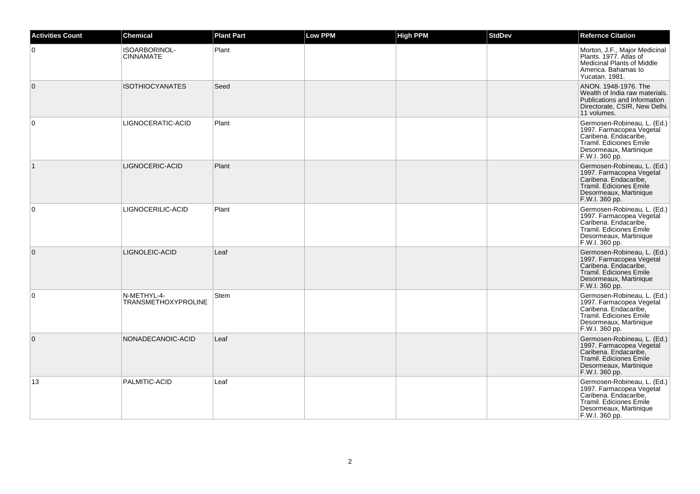| <b>Activities Count</b> | <b>Chemical</b>                           | <b>Plant Part</b> | <b>Low PPM</b> | <b>High PPM</b> | <b>StdDev</b> | <b>Refernce Citation</b>                                                                                                                                       |
|-------------------------|-------------------------------------------|-------------------|----------------|-----------------|---------------|----------------------------------------------------------------------------------------------------------------------------------------------------------------|
| 0                       | ISOARBORINOL-<br><b>CINNAMATE</b>         | Plant             |                |                 |               | Morton, J.F., Major Medicinal<br>Plants. 1977. Atlas of<br><b>Medicinal Plants of Middle</b><br>America. Bahamas to<br>Yucatan. 1981.                          |
| $\mathbf{0}$            | <b>ISOTHIOCYANATES</b>                    | Seed              |                |                 |               | ANON. 1948-1976. The<br>Wealth of India raw materials.<br>Publications and Information<br>Directorate, CSIR, New Delhi.<br>11 volumes.                         |
| $\mathbf 0$             | LIGNOCERATIC-ACID                         | Plant             |                |                 |               | Germosen-Robineau, L. (Ed.)<br>1997. Farmacopea Vegetal<br>Caribena. Endacaribe,<br>Tramil. Ediciones Emile<br>Desormeaux, Martinique<br>F.W.I. 360 pp.        |
| $\mathbf{1}$            | LIGNOCERIC-ACID                           | Plant             |                |                 |               | Germosen-Robineau, L. (Ed.)<br>1997. Farmacopea Vegetal<br>Caribena. Endacaribe,<br>Tramil. Ediciones Emile<br>Desormeaux, Martinique<br>F.W.I. 360 pp.        |
| 0                       | LIGNOCERILIC-ACID                         | Plant             |                |                 |               | Germosen-Robineau, L. (Ed.)<br>1997. Farmacopea Vegetal<br>Caribena. Endacaribe,<br>Tramil. Ediciones Emile<br>Desormeaux, Martinique<br>F.W.I. 360 pp.        |
| $\mathbf 0$             | LIGNOLEIC-ACID                            | Leaf              |                |                 |               | Germosen-Robineau, L. (Ed.)<br>1997. Farmacopea Vegetal<br>Caribena. Endacaribe,<br><b>Tramil. Ediciones Emile</b><br>Desormeaux, Martinique<br>F.W.I. 360 pp. |
| 0                       | N-METHYL-4-<br><b>TRANSMETHOXYPROLINE</b> | <b>Stem</b>       |                |                 |               | Germosen-Robineau, L. (Ed.)<br>1997. Farmacopea Vegetal<br>Caribena. Endacaribe,<br>Tramil. Ediciones Emile<br>Desormeaux, Martinique<br>F.W.I. 360 pp.        |
| $\overline{0}$          | NONADECANOIC-ACID                         | Leaf              |                |                 |               | Germosen-Robineau, L. (Ed.)<br>1997. Farmacopea Vegetal<br>Caribena. Endacaribe,<br>Tramil. Ediciones Emile<br>Desormeaux, Martinique<br>F.W.I. 360 pp.        |
| 13                      | PALMITIC-ACID                             | Leaf              |                |                 |               | Germosen-Robineau, L. (Ed.)<br>1997. Farmacopea Vegetal<br>Caribena. Endacaribe,<br>Tramil. Ediciones Emile<br>Desormeaux, Martinique<br>F.W.I. 360 pp.        |